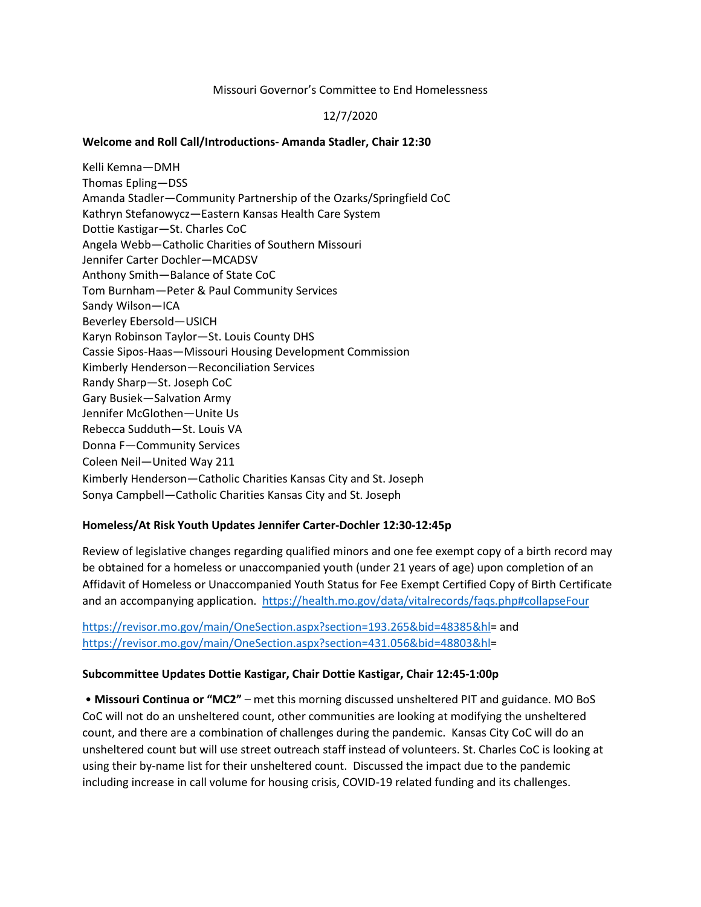### Missouri Governor's Committee to End Homelessness

### 12/7/2020

### **Welcome and Roll Call/Introductions- Amanda Stadler, Chair 12:30**

Kelli Kemna—DMH Thomas Epling—DSS Amanda Stadler—Community Partnership of the Ozarks/Springfield CoC Kathryn Stefanowycz—Eastern Kansas Health Care System Dottie Kastigar—St. Charles CoC Angela Webb—Catholic Charities of Southern Missouri Jennifer Carter Dochler—MCADSV Anthony Smith—Balance of State CoC Tom Burnham—Peter & Paul Community Services Sandy Wilson—ICA Beverley Ebersold—USICH Karyn Robinson Taylor—St. Louis County DHS Cassie Sipos-Haas—Missouri Housing Development Commission Kimberly Henderson—Reconciliation Services Randy Sharp—St. Joseph CoC Gary Busiek—Salvation Army Jennifer McGlothen—Unite Us Rebecca Sudduth—St. Louis VA Donna F—Community Services Coleen Neil—United Way 211 Kimberly Henderson—Catholic Charities Kansas City and St. Joseph Sonya Campbell—Catholic Charities Kansas City and St. Joseph

#### **Homeless/At Risk Youth Updates Jennifer Carter-Dochler 12:30-12:45p**

Review of legislative changes regarding qualified minors and one fee exempt copy of a birth record may be obtained for a homeless or unaccompanied youth (under 21 years of age) upon completion of an Affidavit of Homeless or Unaccompanied Youth Status for Fee Exempt Certified Copy of Birth Certificate and an accompanying application. <https://health.mo.gov/data/vitalrecords/faqs.php#collapseFour>

[https://revisor.mo.gov/main/OneSection.aspx?section=193.265&bid=48385&hl=](https://revisor.mo.gov/main/OneSection.aspx?section=193.265&bid=48385&hl) and [https://revisor.mo.gov/main/OneSection.aspx?section=431.056&bid=48803&hl=](https://revisor.mo.gov/main/OneSection.aspx?section=431.056&bid=48803&hl)

#### **Subcommittee Updates Dottie Kastigar, Chair Dottie Kastigar, Chair 12:45-1:00p**

• **Missouri Continua or "MC2"** – met this morning discussed unsheltered PIT and guidance. MO BoS CoC will not do an unsheltered count, other communities are looking at modifying the unsheltered count, and there are a combination of challenges during the pandemic. Kansas City CoC will do an unsheltered count but will use street outreach staff instead of volunteers. St. Charles CoC is looking at using their by-name list for their unsheltered count. Discussed the impact due to the pandemic including increase in call volume for housing crisis, COVID-19 related funding and its challenges.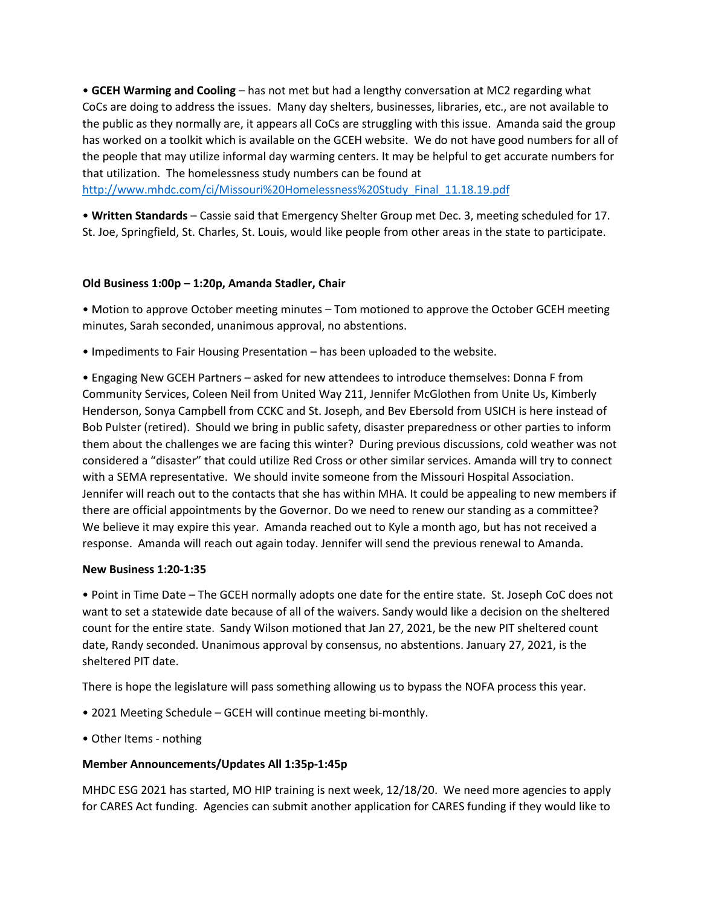• **GCEH Warming and Cooling** – has not met but had a lengthy conversation at MC2 regarding what CoCs are doing to address the issues. Many day shelters, businesses, libraries, etc., are not available to the public as they normally are, it appears all CoCs are struggling with this issue. Amanda said the group has worked on a toolkit which is available on the GCEH website. We do not have good numbers for all of the people that may utilize informal day warming centers. It may be helpful to get accurate numbers for that utilization. The homelessness study numbers can be found at [http://www.mhdc.com/ci/Missouri%20Homelessness%20Study\\_Final\\_11.18.19.pdf](http://www.mhdc.com/ci/Missouri%20Homelessness%20Study_Final_11.18.19.pdf)

• **Written Standards** – Cassie said that Emergency Shelter Group met Dec. 3, meeting scheduled for 17. St. Joe, Springfield, St. Charles, St. Louis, would like people from other areas in the state to participate.

# **Old Business 1:00p – 1:20p, Amanda Stadler, Chair**

• Motion to approve October meeting minutes – Tom motioned to approve the October GCEH meeting minutes, Sarah seconded, unanimous approval, no abstentions.

• Impediments to Fair Housing Presentation – has been uploaded to the website.

• Engaging New GCEH Partners – asked for new attendees to introduce themselves: Donna F from Community Services, Coleen Neil from United Way 211, Jennifer McGlothen from Unite Us, Kimberly Henderson, Sonya Campbell from CCKC and St. Joseph, and Bev Ebersold from USICH is here instead of Bob Pulster (retired). Should we bring in public safety, disaster preparedness or other parties to inform them about the challenges we are facing this winter? During previous discussions, cold weather was not considered a "disaster" that could utilize Red Cross or other similar services. Amanda will try to connect with a SEMA representative. We should invite someone from the Missouri Hospital Association. Jennifer will reach out to the contacts that she has within MHA. It could be appealing to new members if there are official appointments by the Governor. Do we need to renew our standing as a committee? We believe it may expire this year. Amanda reached out to Kyle a month ago, but has not received a response. Amanda will reach out again today. Jennifer will send the previous renewal to Amanda.

# **New Business 1:20-1:35**

• Point in Time Date – The GCEH normally adopts one date for the entire state. St. Joseph CoC does not want to set a statewide date because of all of the waivers. Sandy would like a decision on the sheltered count for the entire state. Sandy Wilson motioned that Jan 27, 2021, be the new PIT sheltered count date, Randy seconded. Unanimous approval by consensus, no abstentions. January 27, 2021, is the sheltered PIT date.

There is hope the legislature will pass something allowing us to bypass the NOFA process this year.

- 2021 Meeting Schedule GCEH will continue meeting bi-monthly.
- Other Items nothing

# **Member Announcements/Updates All 1:35p-1:45p**

MHDC ESG 2021 has started, MO HIP training is next week, 12/18/20. We need more agencies to apply for CARES Act funding. Agencies can submit another application for CARES funding if they would like to